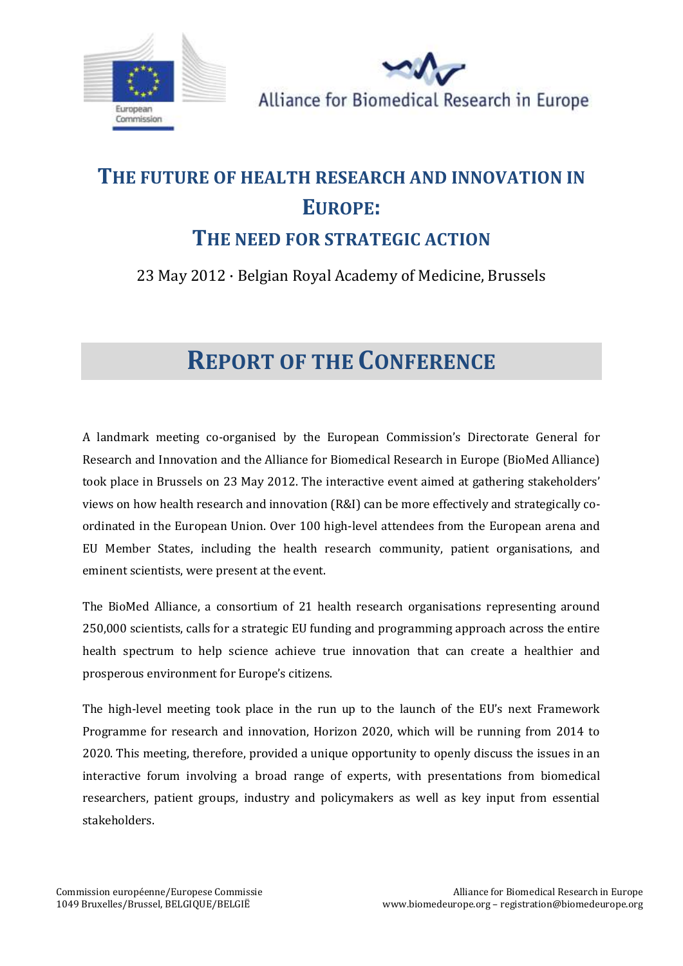



# **THE FUTURE OF HEALTH RESEARCH AND INNOVATION IN EUROPE:**

# **THE NEED FOR STRATEGIC ACTION**

# 23 May 2012 · Belgian Royal Academy of Medicine, Brussels

# **REPORT OF THE CONFERENCE**

A landmark meeting co-organised by the European Commission's Directorate General for Research and Innovation and the Alliance for Biomedical Research in Europe (BioMed Alliance) took place in Brussels on 23 May 2012. The interactive event aimed at gathering stakeholders' views on how health research and innovation (R&I) can be more effectively and strategically coordinated in the European Union. Over 100 high-level attendees from the European arena and EU Member States, including the health research community, patient organisations, and eminent scientists, were present at the event.

The BioMed Alliance, a consortium of 21 health research organisations representing around 250,000 scientists, calls for a strategic EU funding and programming approach across the entire health spectrum to help science achieve true innovation that can create a healthier and prosperous environment for Europe's citizens.

The high-level meeting took place in the run up to the launch of the EU's next Framework Programme for research and innovation, Horizon 2020, which will be running from 2014 to 2020. This meeting, therefore, provided a unique opportunity to openly discuss the issues in an interactive forum involving a broad range of experts, with presentations from biomedical researchers, patient groups, industry and policymakers as well as key input from essential stakeholders.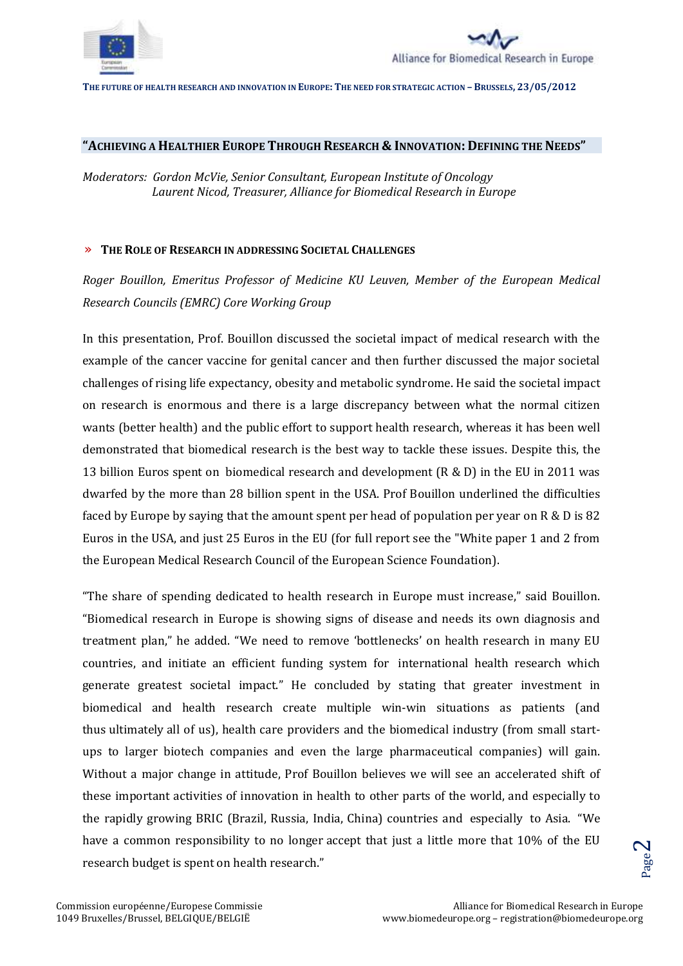



## **"ACHIEVING A HEALTHIER EUROPE THROUGH RESEARCH & INNOVATION: DEFINING THE NEEDS"**

*Moderators: Gordon McVie, Senior Consultant, European Institute of Oncology Laurent Nicod, Treasurer, Alliance for Biomedical Research in Europe*

## » **THE ROLE OF RESEARCH IN ADDRESSING SOCIETAL CHALLENGES**

*Roger Bouillon, Emeritus Professor of Medicine KU Leuven, Member of the European Medical Research Councils (EMRC) Core Working Group*

In this presentation, Prof. Bouillon discussed the societal impact of medical research with the example of the cancer vaccine for genital cancer and then further discussed the major societal challenges of rising life expectancy, obesity and metabolic syndrome. He said the societal impact on research is enormous and there is a large discrepancy between what the normal citizen wants (better health) and the public effort to support health research, whereas it has been well demonstrated that biomedical research is the best way to tackle these issues. Despite this, the 13 billion Euros spent on biomedical research and development (R & D) in the EU in 2011 was dwarfed by the more than 28 billion spent in the USA. Prof Bouillon underlined the difficulties faced by Europe by saying that the amount spent per head of population per year on R & D is 82 Euros in the USA, and just 25 Euros in the EU (for full report see the "White paper 1 and 2 from the European Medical Research Council of the European Science Foundation).

"The share of spending dedicated to health research in Europe must increase," said Bouillon. "Biomedical research in Europe is showing signs of disease and needs its own diagnosis and treatment plan," he added. "We need to remove 'bottlenecks' on health research in many EU countries, and initiate an efficient funding system for international health research which generate greatest societal impact." He concluded by stating that greater investment in biomedical and health research create multiple win-win situations as patients (and thus ultimately all of us), health care providers and the biomedical industry (from small startups to larger biotech companies and even the large pharmaceutical companies) will gain. Without a major change in attitude, Prof Bouillon believes we will see an accelerated shift of these important activities of innovation in health to other parts of the world, and especially to the rapidly growing BRIC (Brazil, Russia, India, China) countries and especially to Asia. "We have a common responsibility to no longer accept that just a little more that 10% of the EU research budget is spent on health research."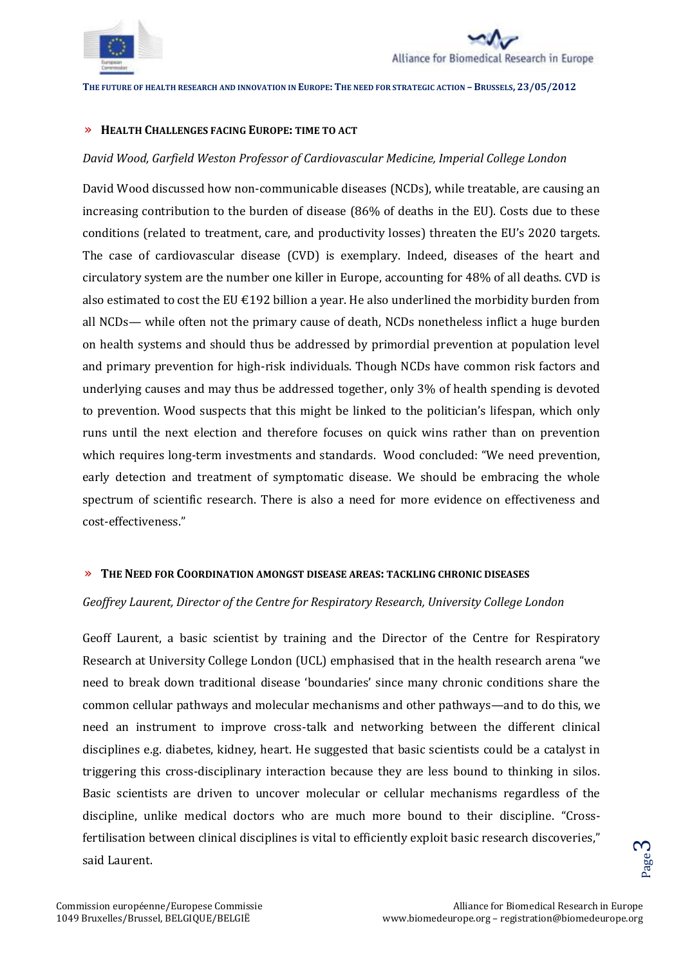



#### » **HEALTH CHALLENGES FACING EUROPE: TIME TO ACT**

## *David Wood, Garfield Weston Professor of Cardiovascular Medicine, Imperial College London*

David Wood discussed how non-communicable diseases (NCDs), while treatable, are causing an increasing contribution to the burden of disease (86% of deaths in the EU). Costs due to these conditions (related to treatment, care, and productivity losses) threaten the EU's 2020 targets. The case of cardiovascular disease (CVD) is exemplary. Indeed, diseases of the heart and circulatory system are the number one killer in Europe, accounting for 48% of all deaths. CVD is also estimated to cost the EU  $\epsilon$ 192 billion a year. He also underlined the morbidity burden from all NCDs— while often not the primary cause of death, NCDs nonetheless inflict a huge burden on health systems and should thus be addressed by primordial prevention at population level and primary prevention for high-risk individuals. Though NCDs have common risk factors and underlying causes and may thus be addressed together, only 3% of health spending is devoted to prevention. Wood suspects that this might be linked to the politician's lifespan, which only runs until the next election and therefore focuses on quick wins rather than on prevention which requires long-term investments and standards. Wood concluded: "We need prevention, early detection and treatment of symptomatic disease. We should be embracing the whole spectrum of scientific research. There is also a need for more evidence on effectiveness and cost-effectiveness."

## » **THE NEED FOR COORDINATION AMONGST DISEASE AREAS: TACKLING CHRONIC DISEASES**

## *Geoffrey Laurent, Director of the Centre for Respiratory Research, University College London*

Geoff Laurent, a basic scientist by training and the Director of the Centre for Respiratory Research at University College London (UCL) emphasised that in the health research arena "we need to break down traditional disease 'boundaries' since many chronic conditions share the common cellular pathways and molecular mechanisms and other pathways—and to do this, we need an instrument to improve cross-talk and networking between the different clinical disciplines e.g. diabetes, kidney, heart. He suggested that basic scientists could be a catalyst in triggering this cross-disciplinary interaction because they are less bound to thinking in silos. Basic scientists are driven to uncover molecular or cellular mechanisms regardless of the discipline, unlike medical doctors who are much more bound to their discipline. "Crossfertilisation between clinical disciplines is vital to efficiently exploit basic research discoveries," said Laurent.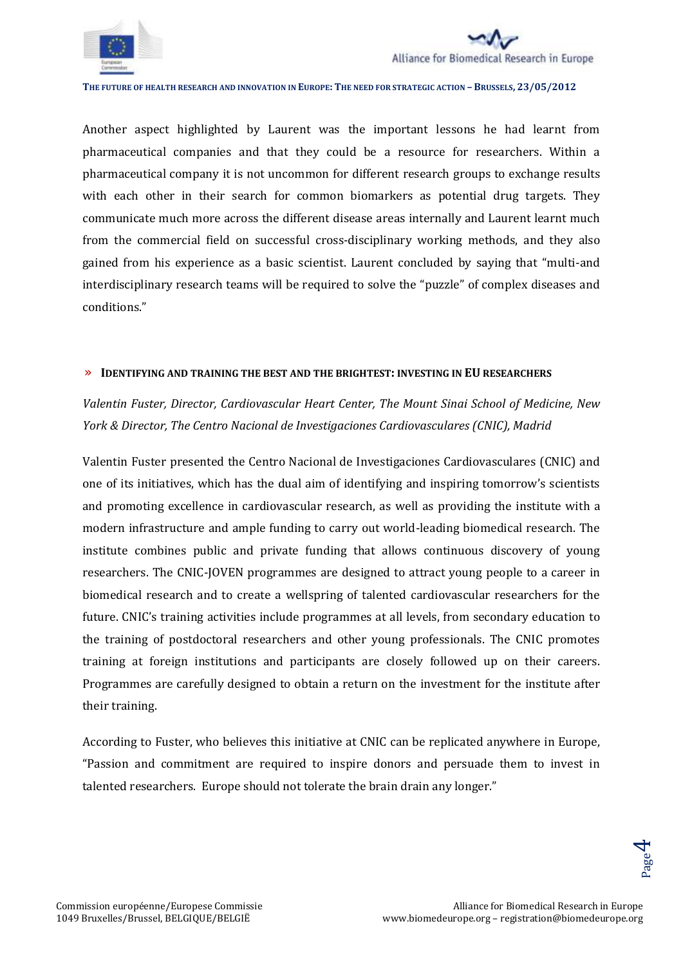



Another aspect highlighted by Laurent was the important lessons he had learnt from pharmaceutical companies and that they could be a resource for researchers. Within a pharmaceutical company it is not uncommon for different research groups to exchange results with each other in their search for common biomarkers as potential drug targets. They communicate much more across the different disease areas internally and Laurent learnt much from the commercial field on successful cross-disciplinary working methods, and they also gained from his experience as a basic scientist. Laurent concluded by saying that "multi-and interdisciplinary research teams will be required to solve the "puzzle" of complex diseases and conditions."

#### » **IDENTIFYING AND TRAINING THE BEST AND THE BRIGHTEST: INVESTING IN EU RESEARCHERS**

*Valentin Fuster, Director, Cardiovascular Heart Center, The Mount Sinai School of Medicine, New York & Director, The Centro Nacional de Investigaciones Cardiovasculares (CNIC), Madrid*

Valentin Fuster presented the Centro Nacional de Investigaciones Cardiovasculares (CNIC) and one of its initiatives, which has the dual aim of identifying and inspiring tomorrow's scientists and promoting excellence in cardiovascular research, as well as providing the institute with a modern infrastructure and ample funding to carry out world-leading biomedical research. The institute combines public and private funding that allows continuous discovery of young researchers. The CNIC-JOVEN programmes are designed to attract young people to a career in biomedical research and to create a wellspring of talented cardiovascular researchers for the future. CNIC's training activities include programmes at all levels, from secondary education to the training of postdoctoral researchers and other young professionals. The CNIC promotes training at foreign institutions and participants are closely followed up on their careers. Programmes are carefully designed to obtain a return on the investment for the institute after their training.

According to Fuster, who believes this initiative at CNIC can be replicated anywhere in Europe, "Passion and commitment are required to inspire donors and persuade them to invest in talented researchers. Europe should not tolerate the brain drain any longer."

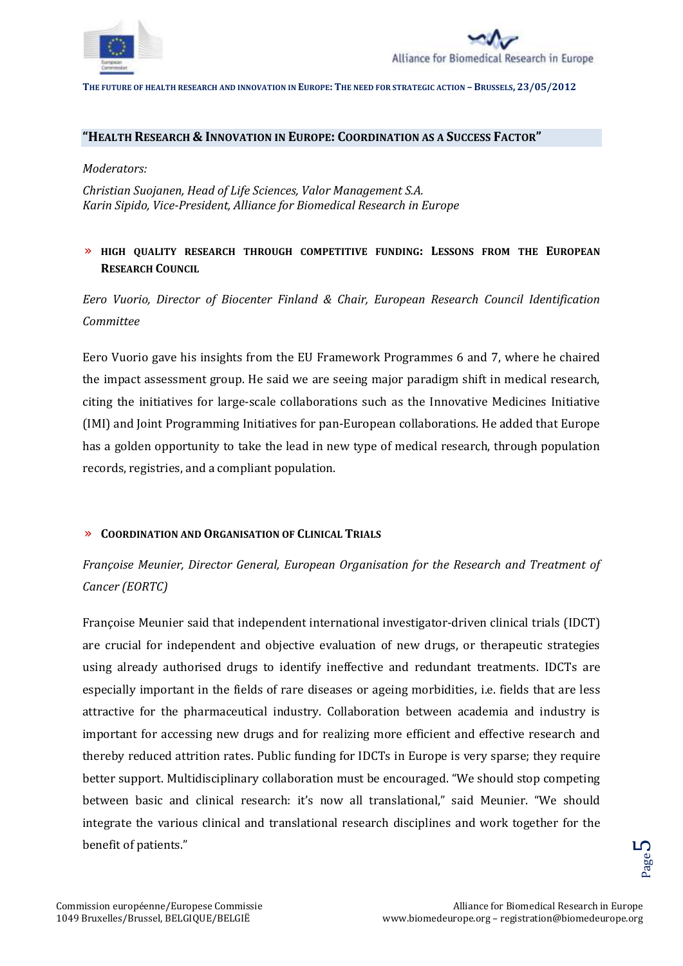



#### **"HEALTH RESEARCH & INNOVATION IN EUROPE: COORDINATION AS A SUCCESS FACTOR"**

*Moderators:* 

*Christian Suojanen, Head of Life Sciences, Valor Management S.A. Karin Sipido, Vice-President, Alliance for Biomedical Research in Europe*

# » **HIGH QUALITY RESEARCH THROUGH COMPETITIVE FUNDING: LESSONS FROM THE EUROPEAN RESEARCH COUNCIL**

*Eero Vuorio, Director of Biocenter Finland & Chair, European Research Council Identification Committee*

Eero Vuorio gave his insights from the EU Framework Programmes 6 and 7, where he chaired the impact assessment group. He said we are seeing major paradigm shift in medical research, citing the initiatives for large-scale collaborations such as the Innovative Medicines Initiative (IMI) and Joint Programming Initiatives for pan-European collaborations. He added that Europe has a golden opportunity to take the lead in new type of medical research, through population records, registries, and a compliant population.

## » **COORDINATION AND ORGANISATION OF CLINICAL TRIALS**

# *Françoise Meunier, Director General, European Organisation for the Research and Treatment of Cancer (EORTC)*

Françoise Meunier said that independent international investigator-driven clinical trials (IDCT) are crucial for independent and objective evaluation of new drugs, or therapeutic strategies using already authorised drugs to identify ineffective and redundant treatments. IDCTs are especially important in the fields of rare diseases or ageing morbidities, i.e. fields that are less attractive for the pharmaceutical industry. Collaboration between academia and industry is important for accessing new drugs and for realizing more efficient and effective research and thereby reduced attrition rates. Public funding for IDCTs in Europe is very sparse; they require better support. Multidisciplinary collaboration must be encouraged. "We should stop competing between basic and clinical research: it's now all translational," said Meunier. "We should integrate the various clinical and translational research disciplines and work together for the benefit of patients."

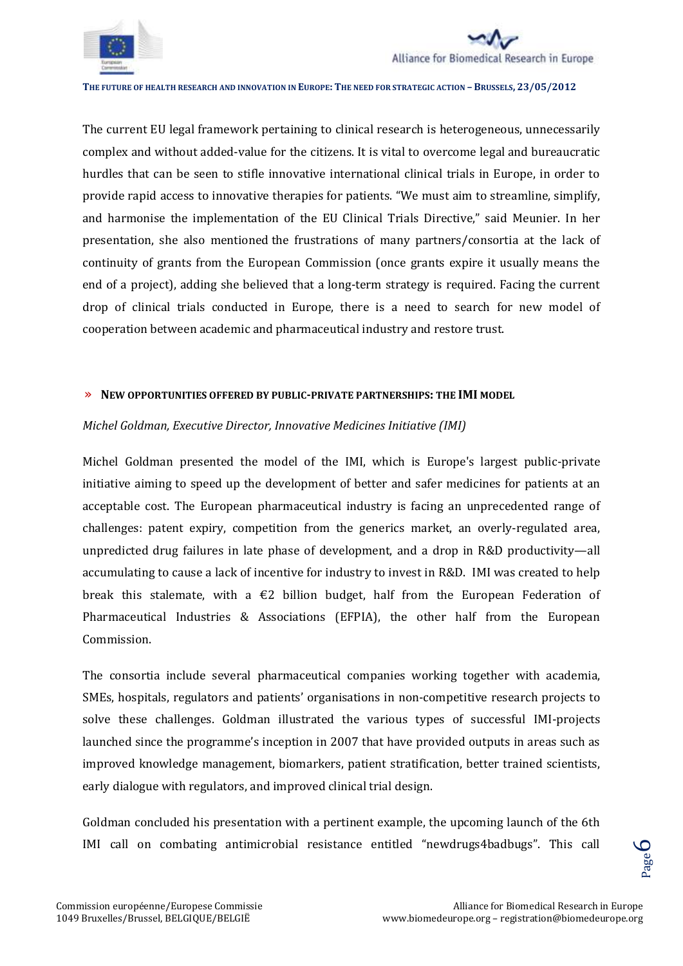



The current EU legal framework pertaining to clinical research is heterogeneous, unnecessarily complex and without added-value for the citizens. It is vital to overcome legal and bureaucratic hurdles that can be seen to stifle innovative international clinical trials in Europe, in order to provide rapid access to innovative therapies for patients. "We must aim to streamline, simplify, and harmonise the implementation of the EU Clinical Trials Directive," said Meunier. In her presentation, she also mentioned the frustrations of many partners/consortia at the lack of continuity of grants from the European Commission (once grants expire it usually means the end of a project), adding she believed that a long-term strategy is required. Facing the current drop of clinical trials conducted in Europe, there is a need to search for new model of cooperation between academic and pharmaceutical industry and restore trust.

## » **NEW OPPORTUNITIES OFFERED BY PUBLIC-PRIVATE PARTNERSHIPS: THE IMI MODEL**

## *Michel Goldman, Executive Director, Innovative Medicines Initiative (IMI)*

Michel Goldman presented the model of the IMI, which is Europe's largest public-private initiative aiming to speed up the development of better and safer medicines for patients at an acceptable cost. The European pharmaceutical industry is facing an unprecedented range of challenges: patent expiry, competition from the generics market, an overly-regulated area, unpredicted drug failures in late phase of development, and a drop in R&D productivity—all accumulating to cause a lack of incentive for industry to invest in R&D. IMI was created to help break this stalemate, with a  $E$ 2 billion budget, half from the European Federation of Pharmaceutical Industries & Associations (EFPIA), the other half from the European Commission.

The consortia include several pharmaceutical companies working together with academia, SMEs, hospitals, regulators and patients' organisations in non-competitive research projects to solve these challenges. Goldman illustrated the various types of successful IMI-projects launched since the programme's inception in 2007 that have provided outputs in areas such as improved knowledge management, biomarkers, patient stratification, better trained scientists, early dialogue with regulators, and improved clinical trial design.

Goldman concluded his presentation with a pertinent example, the upcoming launch of the 6th IMI call on combating antimicrobial resistance entitled "newdrugs4badbugs". This call

 $\mathcal{C}$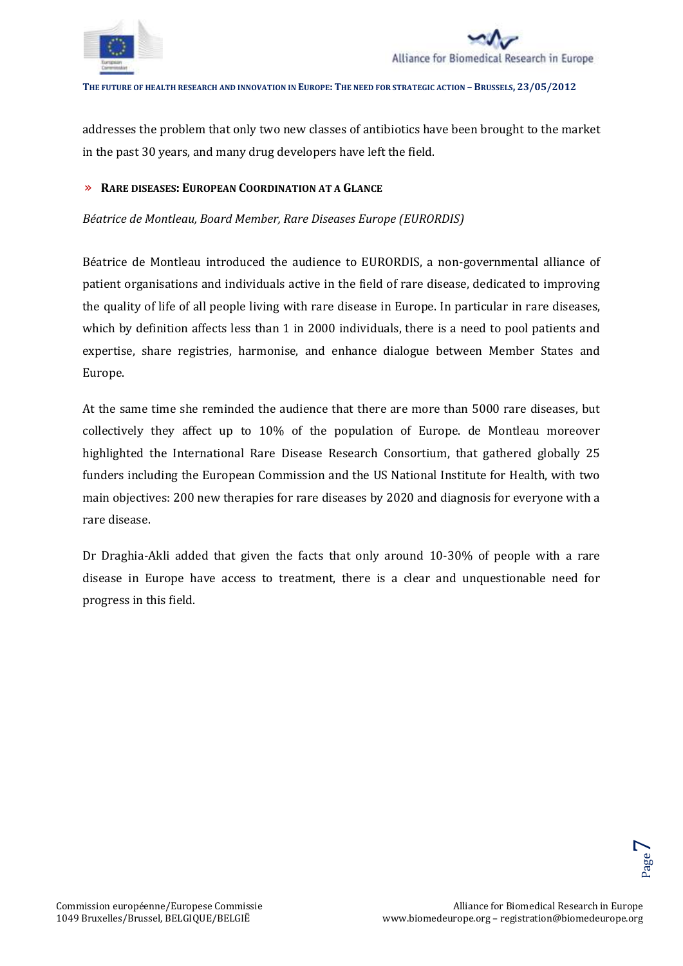

addresses the problem that only two new classes of antibiotics have been brought to the market in the past 30 years, and many drug developers have left the field.

#### » **RARE DISEASES: EUROPEAN COORDINATION AT A GLANCE**

*Béatrice de Montleau, Board Member, Rare Diseases Europe (EURORDIS)*

Béatrice de Montleau introduced the audience to EURORDIS, a non-governmental alliance of patient organisations and individuals active in the field of rare disease, dedicated to improving the quality of life of all people living with rare disease in Europe. In particular in rare diseases, which by definition affects less than 1 in 2000 individuals, there is a need to pool patients and expertise, share registries, harmonise, and enhance dialogue between Member States and Europe.

At the same time she reminded the audience that there are more than 5000 rare diseases, but collectively they affect up to 10% of the population of Europe. de Montleau moreover highlighted the International Rare Disease Research Consortium, that gathered globally 25 funders including the European Commission and the US National Institute for Health, with two main objectives: 200 new therapies for rare diseases by 2020 and diagnosis for everyone with a rare disease.

Dr Draghia-Akli added that given the facts that only around 10-30% of people with a rare disease in Europe have access to treatment, there is a clear and unquestionable need for progress in this field.

 $\blacktriangleright$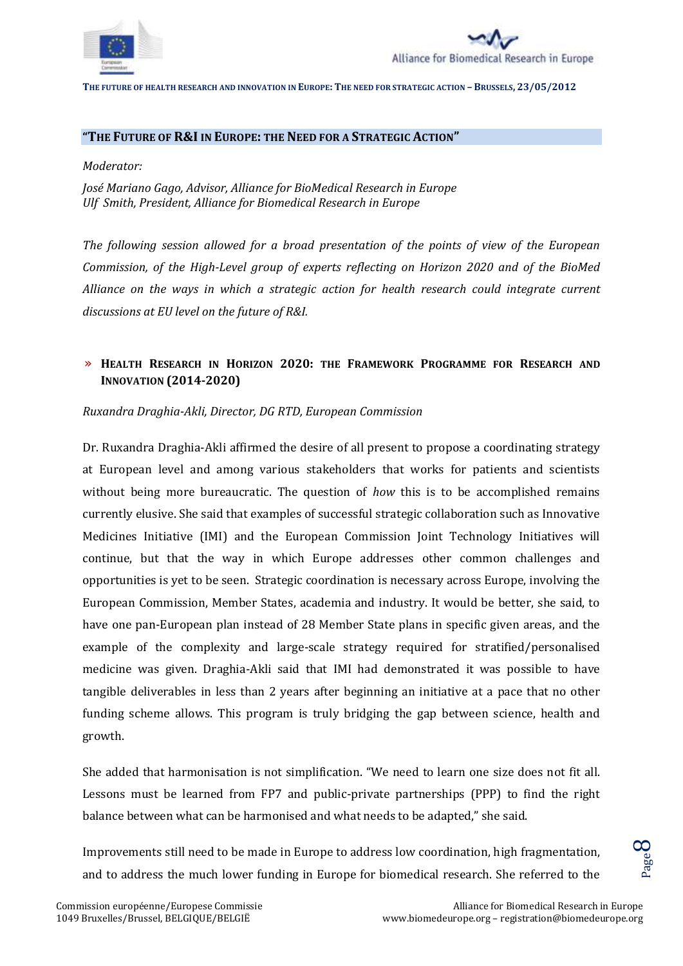



#### **"THE FUTURE OF R&I IN EUROPE: THE NEED FOR A STRATEGIC ACTION"**

*Moderator:* 

*José Mariano Gago, Advisor, Alliance for BioMedical Research in Europe Ulf Smith, President, Alliance for Biomedical Research in Europe*

*The following session allowed for a broad presentation of the points of view of the European Commission, of the High-Level group of experts reflecting on Horizon 2020 and of the BioMed Alliance on the ways in which a strategic action for health research could integrate current discussions at EU level on the future of R&I.*

# » **HEALTH RESEARCH IN HORIZON 2020: THE FRAMEWORK PROGRAMME FOR RESEARCH AND INNOVATION (2014-2020)**

*Ruxandra Draghia-Akli, Director, DG RTD, European Commission*

Dr. Ruxandra Draghia-Akli affirmed the desire of all present to propose a coordinating strategy at European level and among various stakeholders that works for patients and scientists without being more bureaucratic. The question of *how* this is to be accomplished remains currently elusive. She said that examples of successful strategic collaboration such as Innovative Medicines Initiative (IMI) and the European Commission Joint Technology Initiatives will continue, but that the way in which Europe addresses other common challenges and opportunities is yet to be seen. Strategic coordination is necessary across Europe, involving the European Commission, Member States, academia and industry. It would be better, she said, to have one pan-European plan instead of 28 Member State plans in specific given areas, and the example of the complexity and large-scale strategy required for stratified/personalised medicine was given. Draghia-Akli said that IMI had demonstrated it was possible to have tangible deliverables in less than 2 years after beginning an initiative at a pace that no other funding scheme allows. This program is truly bridging the gap between science, health and growth.

She added that harmonisation is not simplification. "We need to learn one size does not fit all. Lessons must be learned from FP7 and public-private partnerships (PPP) to find the right balance between what can be harmonised and what needs to be adapted," she said.

Improvements still need to be made in Europe to address low coordination, high fragmentation, and to address the much lower funding in Europe for biomedical research. She referred to the

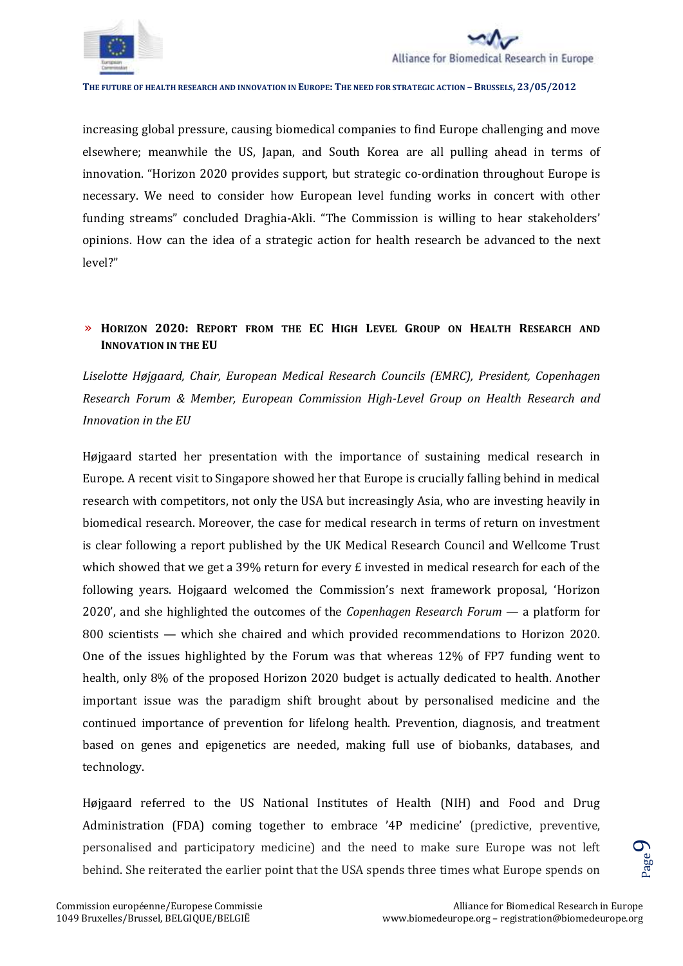



increasing global pressure, causing biomedical companies to find Europe challenging and move elsewhere; meanwhile the US, Japan, and South Korea are all pulling ahead in terms of innovation. "Horizon 2020 provides support, but strategic co-ordination throughout Europe is necessary. We need to consider how European level funding works in concert with other funding streams" concluded Draghia-Akli. "The Commission is willing to hear stakeholders' opinions. How can the idea of a strategic action for health research be advanced to the next level?"

# » **HORIZON 2020: REPORT FROM THE EC HIGH LEVEL GROUP ON HEALTH RESEARCH AND INNOVATION IN THE EU**

*Liselotte Højgaard, Chair, European Medical Research Councils (EMRC), President, Copenhagen Research Forum & Member, European Commission High-Level Group on Health Research and Innovation in the EU*

Højgaard started her presentation with the importance of sustaining medical research in Europe. A recent visit to Singapore showed her that Europe is crucially falling behind in medical research with competitors, not only the USA but increasingly Asia, who are investing heavily in biomedical research. Moreover, the case for medical research in terms of return on investment is clear following a report published by the UK Medical Research Council and Wellcome Trust which showed that we get a 39% return for every  $E$  invested in medical research for each of the following years. Hojgaard welcomed the Commission's next framework proposal, 'Horizon 2020', and she highlighted the outcomes of the *Copenhagen Research Forum* — a platform for 800 scientists — which she chaired and which provided recommendations to Horizon 2020. One of the issues highlighted by the Forum was that whereas 12% of FP7 funding went to health, only 8% of the proposed Horizon 2020 budget is actually dedicated to health. Another important issue was the paradigm shift brought about by personalised medicine and the continued importance of prevention for lifelong health. Prevention, diagnosis, and treatment based on genes and epigenetics are needed, making full use of biobanks, databases, and technology.

Højgaard referred to the US National Institutes of Health (NIH) and Food and Drug Administration (FDA) coming together to embrace '4P medicine' (predictive, preventive, personalised and participatory medicine) and the need to make sure Europe was not left behind. She reiterated the earlier point that the USA spends three times what Europe spends on

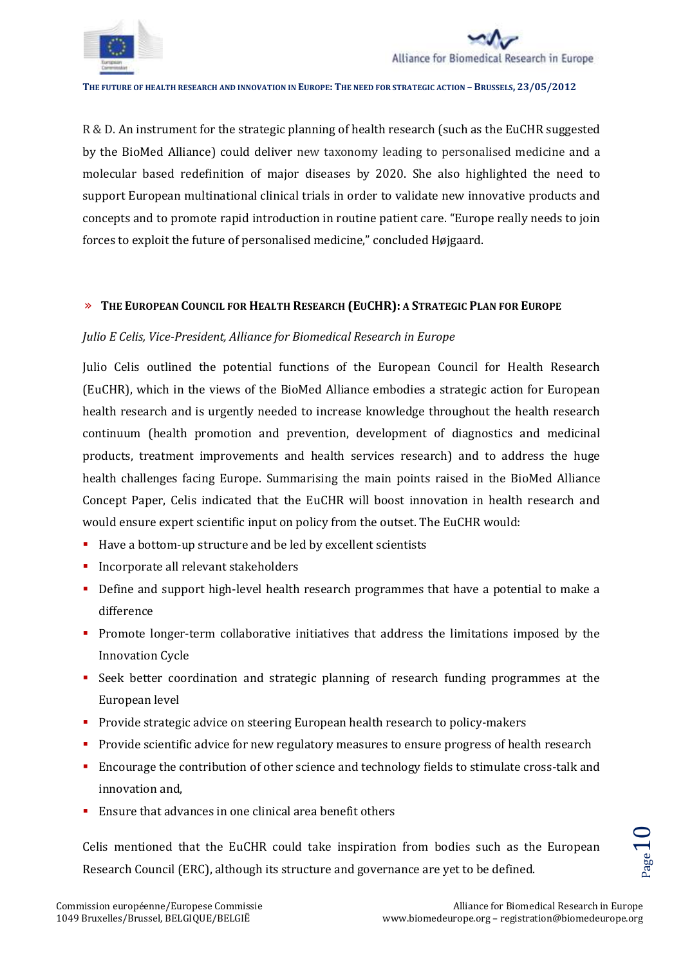



R & D. An instrument for the strategic planning of health research (such as the EuCHR suggested by the BioMed Alliance) could deliver new taxonomy leading to personalised medicine and a molecular based redefinition of major diseases by 2020. She also highlighted the need to support European multinational clinical trials in order to validate new innovative products and concepts and to promote rapid introduction in routine patient care. "Europe really needs to join forces to exploit the future of personalised medicine," concluded Højgaard.

## » **THE EUROPEAN COUNCIL FOR HEALTH RESEARCH (EUCHR): A STRATEGIC PLAN FOR EUROPE**

## *Julio E Celis, Vice-President, Alliance for Biomedical Research in Europe*

Julio Celis outlined the potential functions of the European Council for Health Research (EuCHR), which in the views of the BioMed Alliance embodies a strategic action for European health research and is urgently needed to increase knowledge throughout the health research continuum (health promotion and prevention, development of diagnostics and medicinal products, treatment improvements and health services research) and to address the huge health challenges facing Europe. Summarising the main points raised in the BioMed Alliance Concept Paper, Celis indicated that the EuCHR will boost innovation in health research and would ensure expert scientific input on policy from the outset. The EuCHR would:

- Have a bottom-up structure and be led by excellent scientists
- **Incorporate all relevant stakeholders**
- Define and support high-level health research programmes that have a potential to make a difference
- **Promote longer-term collaborative initiatives that address the limitations imposed by the** Innovation Cycle
- Seek better coordination and strategic planning of research funding programmes at the European level
- **Provide strategic advice on steering European health research to policy-makers**
- **Provide scientific advice for new regulatory measures to ensure progress of health research**
- Encourage the contribution of other science and technology fields to stimulate cross-talk and innovation and,
- **Ensure that advances in one clinical area benefit others**

on from bodies such as the European<br>
rnance are yet to be defined.<br>
Alliance for Biomedical Research in Europe<br>
www.biomedeurope.org – registration@biomedeurope.org Celis mentioned that the EuCHR could take inspiration from bodies such as the European Research Council (ERC), although its structure and governance are yet to be defined.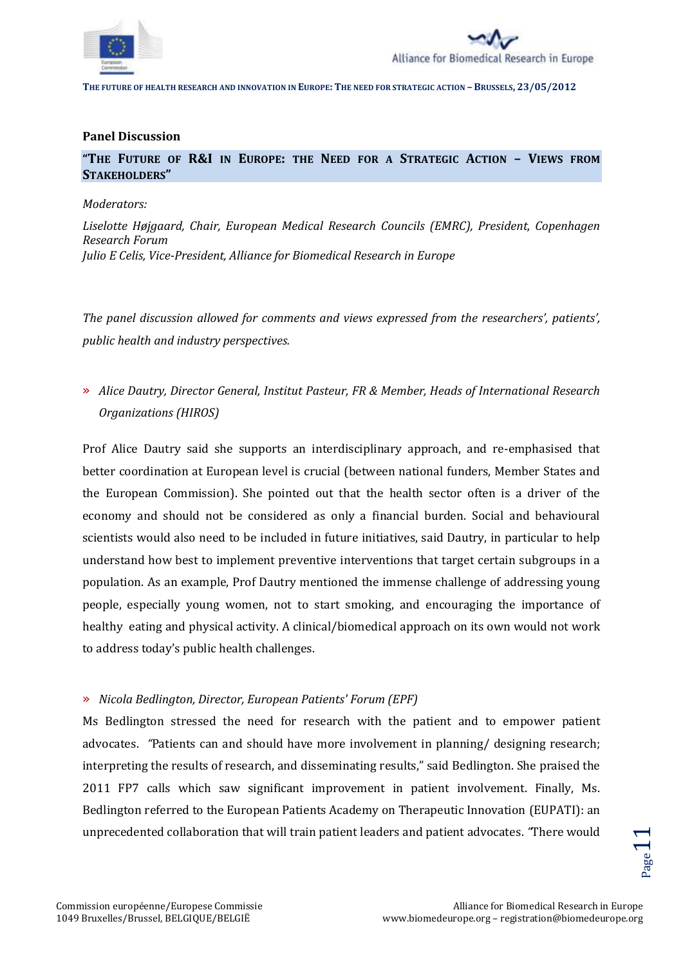



#### **Panel Discussion**

**"THE FUTURE OF R&I IN EUROPE: THE NEED FOR A STRATEGIC ACTION – VIEWS FROM STAKEHOLDERS"**

#### *Moderators:*

*Liselotte Højgaard, Chair, European Medical Research Councils (EMRC), President, Copenhagen Research Forum Julio E Celis, Vice-President, Alliance for Biomedical Research in Europe*

*The panel discussion allowed for comments and views expressed from the researchers', patients', public health and industry perspectives.*

# » *Alice Dautry, Director General, Institut Pasteur, FR & Member, Heads of International Research Organizations (HIROS)*

Prof Alice Dautry said she supports an interdisciplinary approach, and re-emphasised that better coordination at European level is crucial (between national funders, Member States and the European Commission). She pointed out that the health sector often is a driver of the economy and should not be considered as only a financial burden. Social and behavioural scientists would also need to be included in future initiatives, said Dautry, in particular to help understand how best to implement preventive interventions that target certain subgroups in a population. As an example, Prof Dautry mentioned the immense challenge of addressing young people, especially young women, not to start smoking, and encouraging the importance of healthy eating and physical activity. A clinical/biomedical approach on its own would not work to address today's public health challenges.

## » *Nicola Bedlington, Director, European Patients' Forum (EPF)*

Ms Bedlington stressed the need for research with the patient and to empower patient advocates. *"*Patients can and should have more involvement in planning/ designing research; interpreting the results of research, and disseminating results," said Bedlington. She praised the 2011 FP7 calls which saw significant improvement in patient involvement. Finally, Ms. Bedlington referred to the European Patients Academy on Therapeutic Innovation (EUPATI): an unprecedented collaboration that will train patient leaders and patient advocates. *"*There would

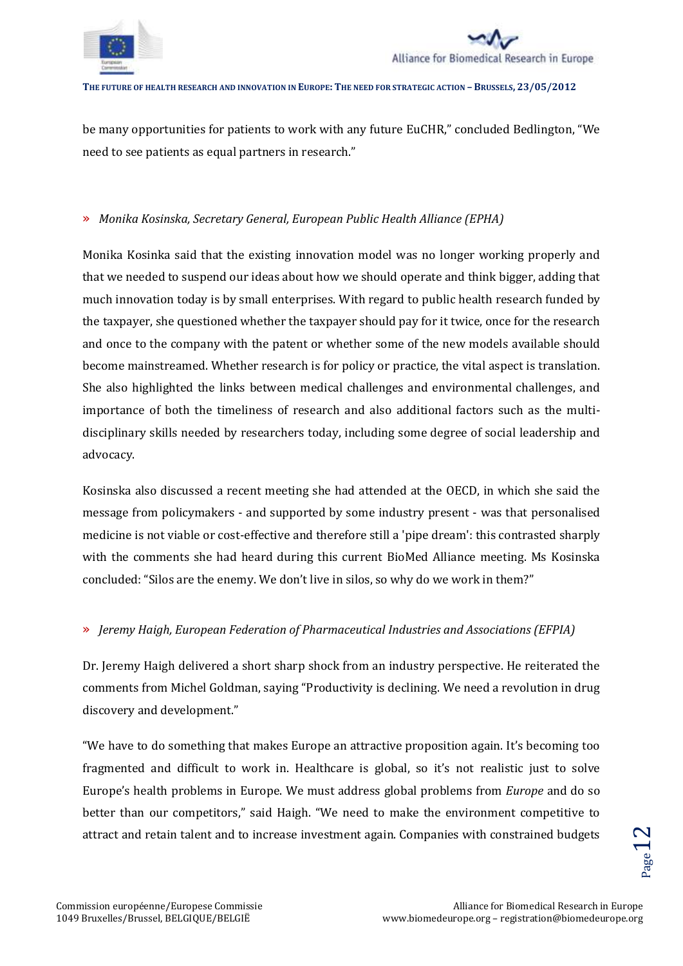



be many opportunities for patients to work with any future EuCHR," concluded Bedlington, "We need to see patients as equal partners in research."

# » *Monika Kosinska, Secretary General, European Public Health Alliance (EPHA)*

Monika Kosinka said that the existing innovation model was no longer working properly and that we needed to suspend our ideas about how we should operate and think bigger, adding that much innovation today is by small enterprises. With regard to public health research funded by the taxpayer, she questioned whether the taxpayer should pay for it twice, once for the research and once to the company with the patent or whether some of the new models available should become mainstreamed. Whether research is for policy or practice, the vital aspect is translation. She also highlighted the links between medical challenges and environmental challenges, and importance of both the timeliness of research and also additional factors such as the multidisciplinary skills needed by researchers today, including some degree of social leadership and advocacy.

Kosinska also discussed a recent meeting she had attended at the OECD, in which she said the message from policymakers - and supported by some industry present - was that personalised medicine is not viable or cost-effective and therefore still a 'pipe dream': this contrasted sharply with the comments she had heard during this current BioMed Alliance meeting. Ms Kosinska concluded: "Silos are the enemy. We don't live in silos, so why do we work in them?"

# » *Jeremy Haigh, European Federation of Pharmaceutical Industries and Associations (EFPIA)*

Dr. Jeremy Haigh delivered a short sharp shock from an industry perspective. He reiterated the comments from Michel Goldman, saying "Productivity is declining. We need a revolution in drug discovery and development."

"We have to do something that makes Europe an attractive proposition again. It's becoming too fragmented and difficult to work in. Healthcare is global, so it's not realistic just to solve Europe's health problems in Europe. We must address global problems from *Europe* and do so better than our competitors," said Haigh. "We need to make the environment competitive to attract and retain talent and to increase investment again. Companies with constrained budgets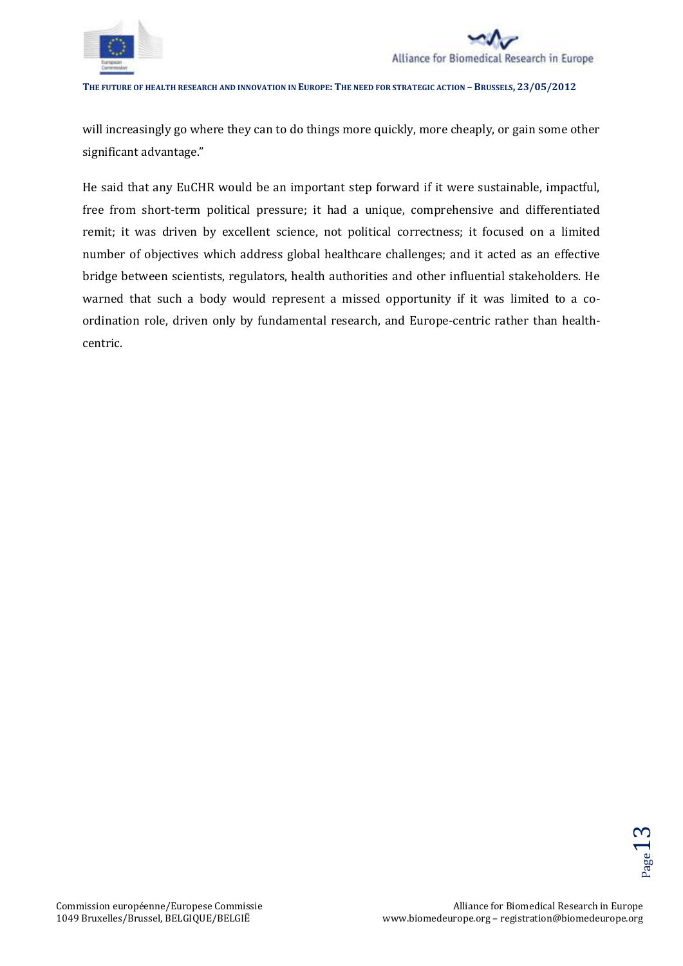



will increasingly go where they can to do things more quickly, more cheaply, or gain some other significant advantage."

He said that any EuCHR would be an important step forward if it were sustainable, impactful, free from short-term political pressure; it had a unique, comprehensive and differentiated remit; it was driven by excellent science, not political correctness; it focused on a limited number of objectives which address global healthcare challenges; and it acted as an effective bridge between scientists, regulators, health authorities and other influential stakeholders. He warned that such a body would represent a missed opportunity if it was limited to a coordination role, driven only by fundamental research, and Europe-centric rather than healthcentric.

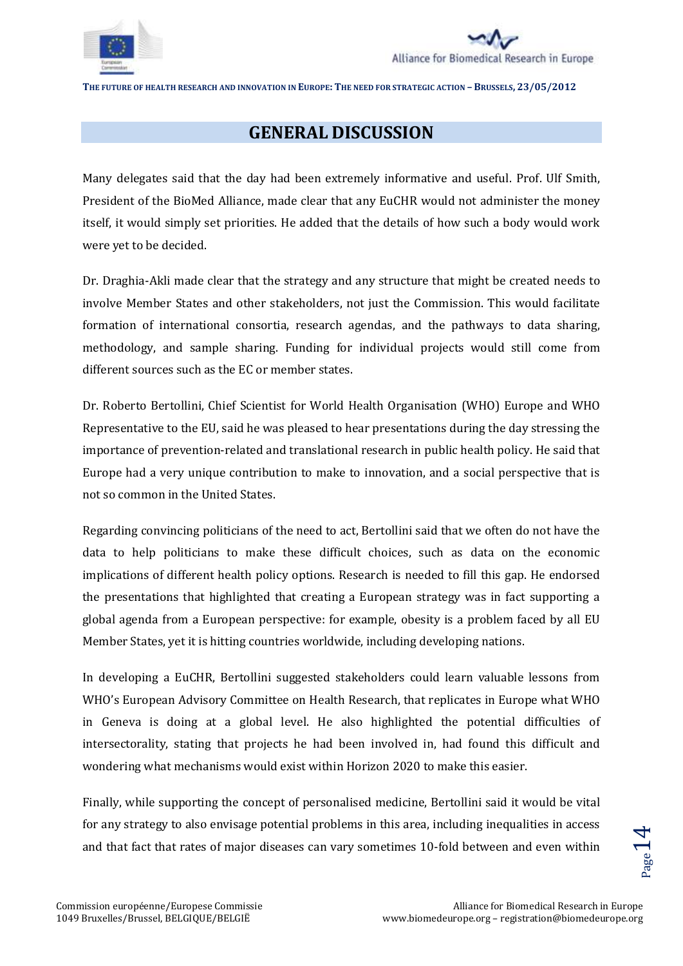



# **GENERAL DISCUSSION**

Many delegates said that the day had been extremely informative and useful. Prof. Ulf Smith, President of the BioMed Alliance, made clear that any EuCHR would not administer the money itself, it would simply set priorities. He added that the details of how such a body would work were yet to be decided.

Dr. Draghia-Akli made clear that the strategy and any structure that might be created needs to involve Member States and other stakeholders, not just the Commission. This would facilitate formation of international consortia, research agendas, and the pathways to data sharing, methodology, and sample sharing. Funding for individual projects would still come from different sources such as the EC or member states.

Dr. Roberto Bertollini, Chief Scientist for World Health Organisation (WHO) Europe and WHO Representative to the EU, said he was pleased to hear presentations during the day stressing the importance of prevention-related and translational research in public health policy. He said that Europe had a very unique contribution to make to innovation, and a social perspective that is not so common in the United States.

Regarding convincing politicians of the need to act, Bertollini said that we often do not have the data to help politicians to make these difficult choices, such as data on the economic implications of different health policy options. Research is needed to fill this gap. He endorsed the presentations that highlighted that creating a European strategy was in fact supporting a global agenda from a European perspective: for example, obesity is a problem faced by all EU Member States, yet it is hitting countries worldwide, including developing nations.

In developing a EuCHR, Bertollini suggested stakeholders could learn valuable lessons from WHO's European Advisory Committee on Health Research, that replicates in Europe what WHO in Geneva is doing at a global level. He also highlighted the potential difficulties of intersectorality, stating that projects he had been involved in, had found this difficult and wondering what mechanisms would exist within Horizon 2020 to make this easier.

etimes 10-fold between and even within<br>etimes 10-fold between and even within<br>Alliance for Biomedical Research in Europe<br>www.biomedeurope.org – registration@biomedeurope.org Finally, while supporting the concept of personalised medicine, Bertollini said it would be vital for any strategy to also envisage potential problems in this area, including inequalities in access and that fact that rates of major diseases can vary sometimes 10-fold between and even within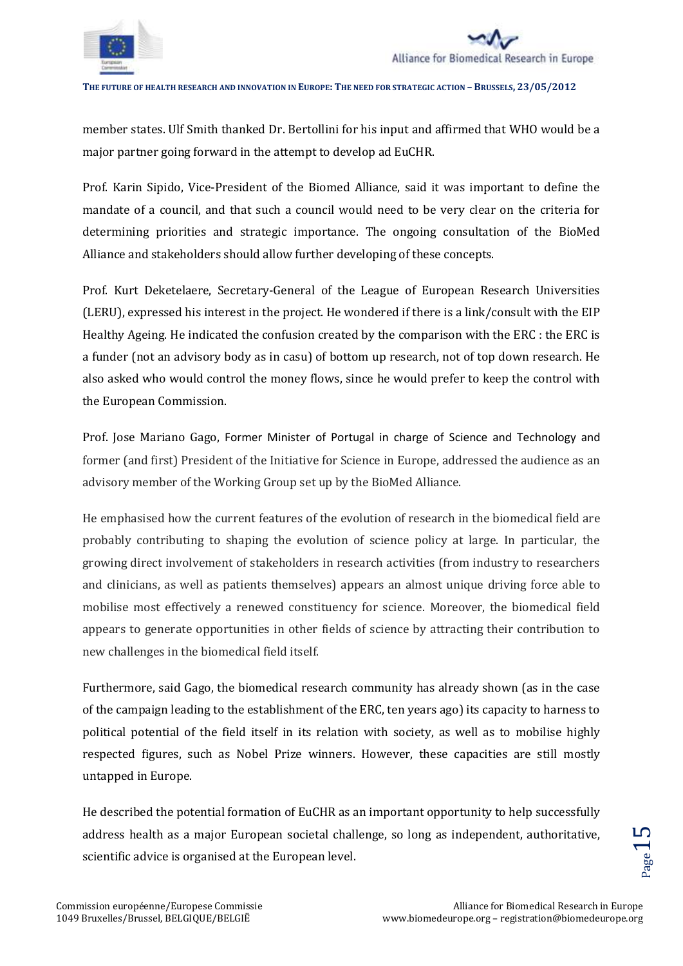

member states. Ulf Smith thanked Dr. Bertollini for his input and affirmed that WHO would be a major partner going forward in the attempt to develop ad EuCHR.

Prof. Karin Sipido, Vice-President of the Biomed Alliance, said it was important to define the mandate of a council, and that such a council would need to be very clear on the criteria for determining priorities and strategic importance. The ongoing consultation of the BioMed Alliance and stakeholders should allow further developing of these concepts.

Prof. Kurt Deketelaere, Secretary-General of the League of European Research Universities (LERU), expressed his interest in the project. He wondered if there is a link/consult with the EIP Healthy Ageing. He indicated the confusion created by the comparison with the ERC : the ERC is a funder (not an advisory body as in casu) of bottom up research, not of top down research. He also asked who would control the money flows, since he would prefer to keep the control with the European Commission.

Prof. Jose Mariano Gago, Former Minister of Portugal in charge of Science and Technology and former (and first) President of the Initiative for Science in Europe, addressed the audience as an advisory member of the Working Group set up by the BioMed Alliance.

He emphasised how the current features of the evolution of research in the biomedical field are probably contributing to shaping the evolution of science policy at large. In particular, the growing direct involvement of stakeholders in research activities (from industry to researchers and clinicians, as well as patients themselves) appears an almost unique driving force able to mobilise most effectively a renewed constituency for science. Moreover, the biomedical field appears to generate opportunities in other fields of science by attracting their contribution to new challenges in the biomedical field itself.

Furthermore, said Gago, the biomedical research community has already shown (as in the case of the campaign leading to the establishment of the ERC, ten years ago) its capacity to harness to political potential of the field itself in its relation with society, as well as to mobilise highly respected figures, such as Nobel Prize winners. However, these capacities are still mostly untapped in Europe.

address health as a major European societal challenge, so long as independent, authoritative,<br>
scientific advice is organised at the European level.<br>
alliance for Biomedical Research in Europe<br>
Alliance for Biomedical Rese He described the potential formation of EuCHR as an important opportunity to help successfully scientific advice is organised at the European level.